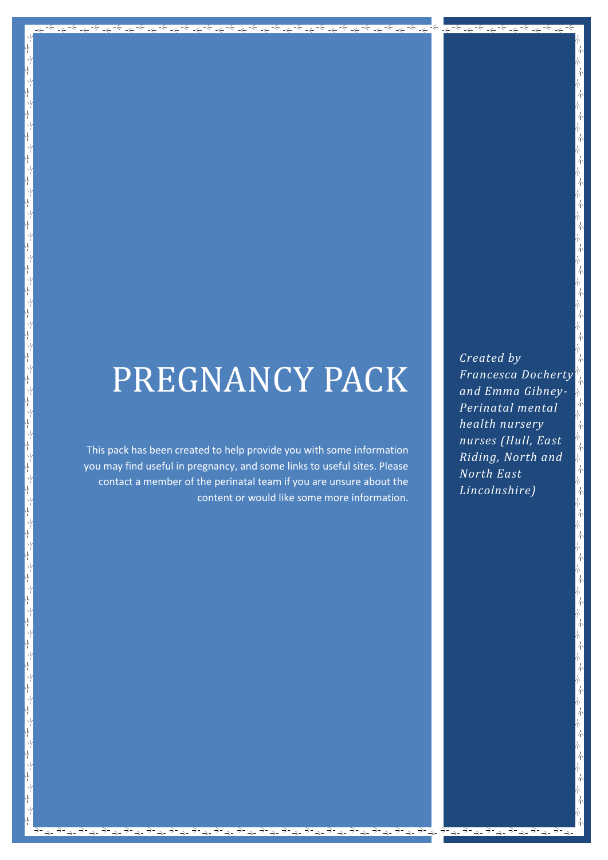# PREGNANCY PACK

This pack has been created to help provide you with some information you may find useful in pregnancy, and some links to useful sites. Please contact a member of the perinatal team if you are unsure about the content or would like some more information.

Ϋ́

*Created by Francesca Docherty and Emma Gibney-Perinatal mental health nursery nurses (Hull, East Riding, North and North East Lincolnshire)*

≂

⋤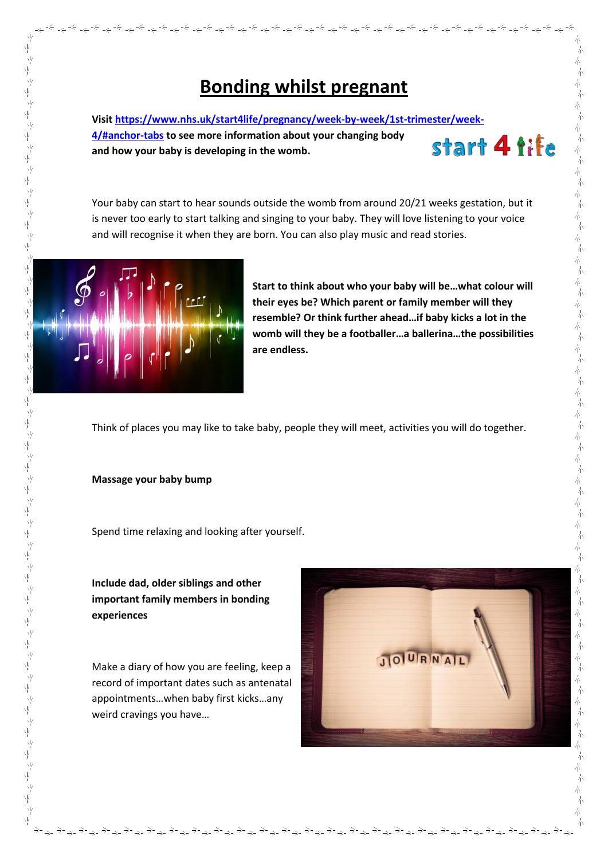# **Bonding whilst pregnant**

المحالية المحالجة المحالجة المحالجة المحالية المحالة المحالة المحالة المحالة المحالة المحالة المحالة المحالة ا<br>المحالة المحالة المحالة المحالة المحالة المحالة المحالة المحالة المحالة المحالة المحالة المحالة المحالة المحال

**Visi[t https://www.nhs.uk/start4life/pregnancy/week-by-week/1st-trimester/week-](https://www.nhs.uk/start4life/pregnancy/week-by-week/1st-trimester/week-4/#anchor-tabs)[4/#anchor-tabs](https://www.nhs.uk/start4life/pregnancy/week-by-week/1st-trimester/week-4/#anchor-tabs) to see more information about your changing body**  start 4 tife **and how your baby is developing in the womb.** 

Your baby can start to hear sounds outside the womb from around 20/21 weeks gestation, but it is never too early to start talking and singing to your baby. They will love listening to your voice and will recognise it when they are born. You can also play music and read stories.



γý

ψ γ

Ϋ́ γķ Ϋ́ γ

Ϋ́ γļ

ψ γķ ,<br>平

、<br>平

γ

γķ ,<br>平

キャン

 $\psi$ 

꾞 ψ

시<br>사

ψ

γķ 平  $\frac{1}{2}$ Ņγ γķ ψ

γķ

,<br>平

,<br>平

ψ

γ

,<br>平

赤かんかんか

不从不不不

√v<br>Y

,<br>平

`⊌<br>¦

γķ

一平

ホートー

ÎΥ

**Start to think about who your baby will be…what colour will their eyes be? Which parent or family member will they resemble? Or think further ahead…if baby kicks a lot in the womb will they be a footballer…a ballerina…the possibilities are endless.**

Think of places you may like to take baby, people they will meet, activities you will do together.

#### **Massage your baby bump**

Spend time relaxing and looking after yourself.

**Include dad, older siblings and other important family members in bonding experiences**

Make a diary of how you are feeling, keep a record of important dates such as antenatal appointments…when baby first kicks…any weird cravings you have…

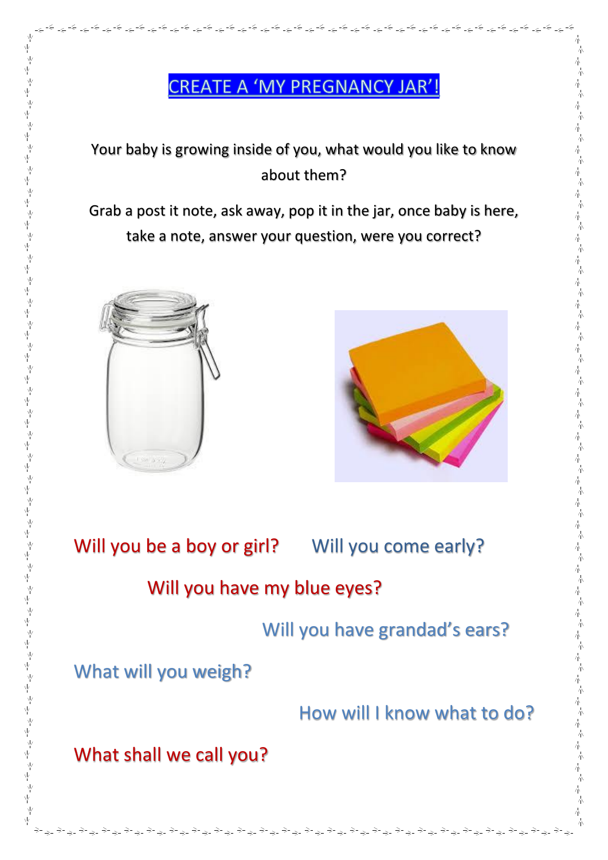# **CREATE A 'MY PREGNANCY JAR'!**

المحاشم المحاطر المحاطر المحاطر المحاطر المحاطر المحاطر المحاطر المحاطر المحاطر المحاطر المحاطر المحاطر المحاطر المحاطر المحاطر المحاطر المحاطر المحاطر المحاطر المحاطر المحاطر المحاطر المحاطر المحاطر المحاطر المحاطر المحاط

Your baby is growing inside of you, what would you like to know about them?

Grab a post it note, ask away, pop it in the jar, once baby is here, take a note, answer your question, were you correct?





小

 $\lambda_{\rm I}^{\rm I}$ 赤木 本 木 赤木

一本

赤赤

赤木

不本人

赤木

一本一本

一本

本本 本 木 赤木

不本 小 木 本 木 不本

赤木

赤木

赤木

一本一本 赤 木 小 木 本本

赤木

本本本本本本

赤木

本本

Will you be a boy or girl? Will you come early?

# Will you have my blue eyes?

Will you have grandad's ears?

What will you weigh?

How will I know what to do?

What shall we call you?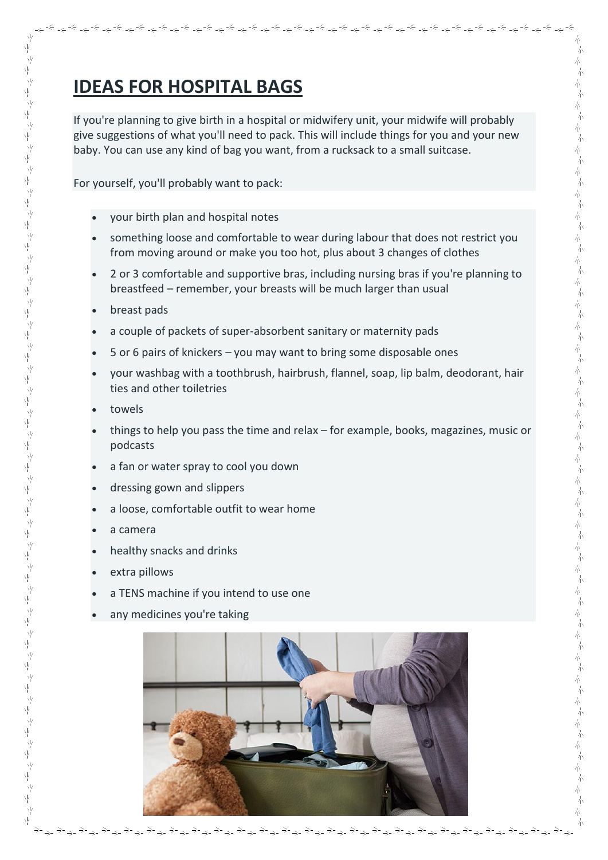# **IDEAS FOR HOSPITAL BAGS**

If you're planning to give birth in a hospital or midwifery unit, your midwife will probably give suggestions of what you'll need to pack. This will include things for you and your new baby. You can use any kind of bag you want, from a rucksack to a small suitcase.

المحالية للمراجعة المراجعة المراجعة المراجعة المراجعة المراجعة المراجعة المراجعة المراجعة المراجعة المراجعة المراجعة

木

木

木

木

本

木

木

木

木

六

木

本

本

本

木

木

本 赤

赤 木

本

木 本本

赤木

本

本

木

木

六

木

木

本

本

赤

赤

赤

赤

赤

赤 木

朩

赤

赤

赤

本

赤

赤 木

本

朩

木

木

木

木

木

六

木

木

木

木

木

赤

木 本本

赤

赤

For yourself, you'll probably want to pack:

- your birth plan and hospital notes
- something loose and comfortable to wear during labour that does not restrict you from moving around or make you too hot, plus about 3 changes of clothes
- 2 or 3 comfortable and supportive bras, including nursing bras if you're planning to breastfeed – remember, your breasts will be much larger than usual
- breast pads

Ψ γý

Ϋ́

γķ

Ψ γķ

Ϋ́

Νý

Νý

γķ

γļ

γķ

Ÿ

γý

γķ

γķ

Ÿ γķ Ϋ́

γý

γķ

,<br>平

,<br>平

Υķ

Νý γý

Ψ  $\frac{1}{2}$ Ŵ

γý

Ņγ

Ϋ́

Ψ

Ν

γķ

γ

γ

Ν

 $\frac{1}{2}$ 

Ϋ́

ψ

γý

 $\frac{1}{2}$ 

Ϋ́

√v<br>Ψ

Ψ

Ψ

Ψ

Ϋ́

ψ

γý

ψ

ψ

ψ

γķ

,<br>平

λķ

γý

Ϋ́

ψ

γķ

γķ

ψ

γý

γļ

Ϋ́

Ψ

Νý

- a couple of packets of super-absorbent sanitary or maternity pads
- 5 or 6 pairs of knickers you may want to bring some disposable ones
- your washbag with a toothbrush, hairbrush, flannel, soap, lip balm, deodorant, hair ties and other toiletries
- towels
- things to help you pass the time and relax for example, books, magazines, music or podcasts
- a fan or water spray to cool you down
- dressing gown and slippers
- a loose, comfortable outfit to wear home
- a camera
- healthy snacks and drinks
- extra pillows
- a TENS machine if you intend to use one
- any medicines you're taking

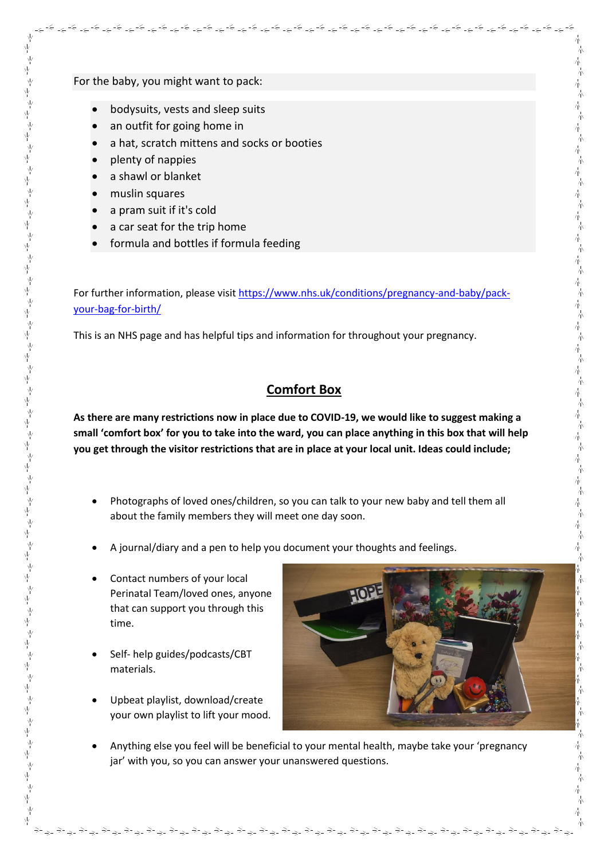For the baby, you might want to pack:

- bodysuits, vests and sleep suits
- an outfit for going home in
- a hat, scratch mittens and socks or booties
- plenty of nappies
- a shawl or blanket
- muslin squares
- a pram suit if it's cold
- a car seat for the trip home
- formula and bottles if formula feeding

For further information, please visi[t https://www.nhs.uk/conditions/pregnancy-and-baby/pack](https://www.nhs.uk/conditions/pregnancy-and-baby/pack-your-bag-for-birth/)[your-bag-for-birth/](https://www.nhs.uk/conditions/pregnancy-and-baby/pack-your-bag-for-birth/)

كم المراشم المراشر المراشر المراشر المراشر المراشر المراشر المراشر المراشر المراشر المراشر المراشر المراشر المراشر المراشر المراشر المراشر المراشر المراشر المراشر المراشر المراشر المراشر المراشر المراشر المراشر المراشر الم

This is an NHS page and has helpful tips and information for throughout your pregnancy.

# **Comfort Box**

**As there are many restrictions now in place due to COVID-19, we would like to suggest making a small 'comfort box' for you to take into the ward, you can place anything in this box that will help you get through the visitor restrictions that are in place at your local unit. Ideas could include;**

- Photographs of loved ones/children, so you can talk to your new baby and tell them all about the family members they will meet one day soon.
- A journal/diary and a pen to help you document your thoughts and feelings.
- Contact numbers of your local Perinatal Team/loved ones, anyone that can support you through this time.
- Self- help guides/podcasts/CBT materials.
- Upbeat playlist, download/create your own playlist to lift your mood.



小

六

木

木

赤

本

六

小

木

本

本

六

小

不本

赤木

木

本 六

小 木

朩 木

赤木

赤木

小

木

本

木

小 木

赤木

小

赤

本

赤 木

赤 木

六

木

木

木

木

木

 Anything else you feel will be beneficial to your mental health, maybe take your 'pregnancy jar' with you, so you can answer your unanswered questions.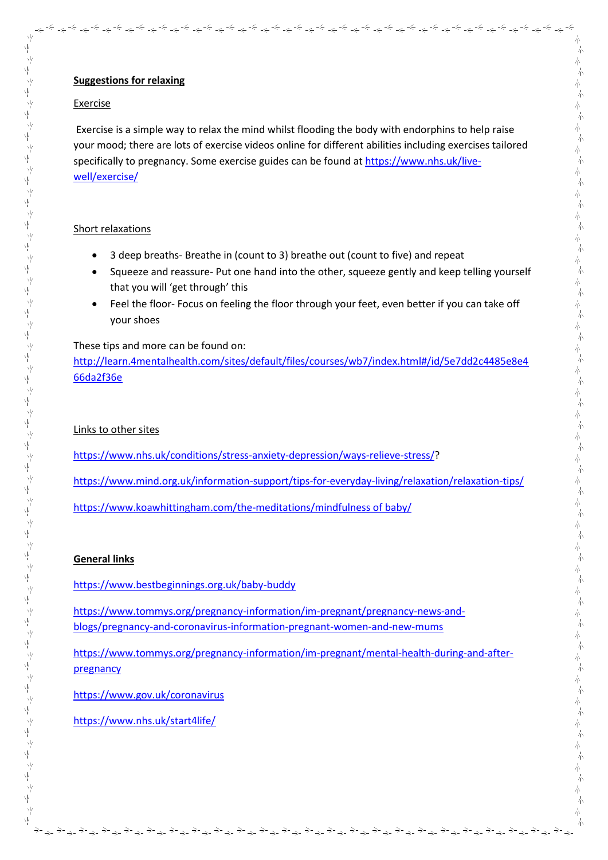## **Suggestions for relaxing**

### Exercise

ψ

ψ γķ

平 γķ

Ϋ́ ψ 业

γķ

γķ

Ÿ

业

Ψ

Ϋ́ γķ

Ψ

Υķ

γķ

γķ

√<br>Y

γļ

ψ γļ

Ÿ γ

Ϋ́

ψ

γķ

γķ

Ϋ́

γķ

γ

Ψ γķ ,<br>平

 $\vee$ 

Ϋ́

γķ

,<br>平

γķ

ψ γ

Ν γķ

ψ

ψ

ψ

ネイチ

γý ÎΥ

ψ

γ

γķ

γ

Ϋ́

Exercise is a simple way to relax the mind whilst flooding the body with endorphins to help raise your mood; there are lots of exercise videos online for different abilities including exercises tailored specifically to pregnancy. Some exercise guides can be found a[t https://www.nhs.uk/live](https://www.nhs.uk/live-well/exercise/)[well/exercise/](https://www.nhs.uk/live-well/exercise/)

كالوالولي فالمحالو الموالو الموالو الموالو الموالو الموالو الموالو الموالي الموالي الموالي الموالو الموالو الموالو الموالو الموالو الموالو الموالي الموالي الموالي الموالي الموالي الموالي الموالي الموالي الموالي الموالي الم

### Short relaxations

- 3 deep breaths- Breathe in (count to 3) breathe out (count to five) and repeat
- Squeeze and reassure- Put one hand into the other, squeeze gently and keep telling yourself that you will 'get through' this
- Feel the floor- Focus on feeling the floor through your feet, even better if you can take off your shoes

These tips and more can be found on:

[http://learn.4mentalhealth.com/sites/default/files/courses/wb7/index.html#/id/5e7dd2c4485e8e4](http://learn.4mentalhealth.com/sites/default/files/courses/wb7/index.html#/id/5e7dd2c4485e8e466da2f36e) [66da2f36e](http://learn.4mentalhealth.com/sites/default/files/courses/wb7/index.html#/id/5e7dd2c4485e8e466da2f36e)

### Links to other sites

[https://www.nhs.uk/conditions/stress-anxiety-depression/ways-relieve-stress/?](https://www.nhs.uk/conditions/stress-anxiety-depression/ways-relieve-stress/)

<https://www.mind.org.uk/information-support/tips-for-everyday-living/relaxation/relaxation-tips/>

[https://www.koawhittingham.com/the-meditations/mindfulness of baby/](https://www.koawhittingham.com/the-meditations/mindfulness%20of%20baby/)

### **General links**

<https://www.bestbeginnings.org.uk/baby-buddy>

[https://www.tommys.org/pregnancy-information/im-pregnant/pregnancy-news-and](https://www.tommys.org/pregnancy-information/im-pregnant/pregnancy-news-and-blogs/pregnancy-and-coronavirus-information-pregnant-women-and-new-mums)[blogs/pregnancy-and-coronavirus-information-pregnant-women-and-new-mums](https://www.tommys.org/pregnancy-information/im-pregnant/pregnancy-news-and-blogs/pregnancy-and-coronavirus-information-pregnant-women-and-new-mums)

https://www.tommys.org/pregnancy-information/im-pregnant/mental-health-during-and-afterpregnancy

<https://www.gov.uk/coronavirus>

<https://www.nhs.uk/start4life/>